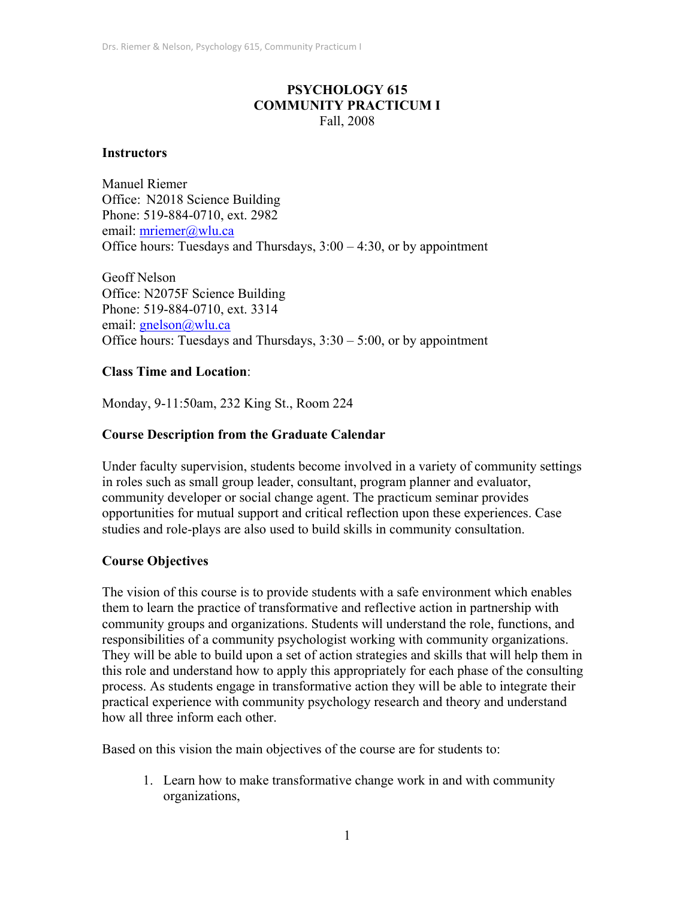# **PSYCHOLOGY 615 COMMUNITY PRACTICUM I**  Fall, 2008

### **Instructors**

Manuel Riemer Office: N2018 Science Building Phone: 519-884-0710, ext. 2982 email: mriemer@wlu.ca Office hours: Tuesdays and Thursdays, 3:00 – 4:30, or by appointment

Geoff Nelson Office: N2075F Science Building Phone: 519-884-0710, ext. 3314 email: gnelson@wlu.ca Office hours: Tuesdays and Thursdays,  $3:30 - 5:00$ , or by appointment

### **Class Time and Location**:

Monday, 9-11:50am, 232 King St., Room 224

# **Course Description from the Graduate Calendar**

Under faculty supervision, students become involved in a variety of community settings in roles such as small group leader, consultant, program planner and evaluator, community developer or social change agent. The practicum seminar provides opportunities for mutual support and critical reflection upon these experiences. Case studies and role-plays are also used to build skills in community consultation.

# **Course Objectives**

The vision of this course is to provide students with a safe environment which enables them to learn the practice of transformative and reflective action in partnership with community groups and organizations. Students will understand the role, functions, and responsibilities of a community psychologist working with community organizations. They will be able to build upon a set of action strategies and skills that will help them in this role and understand how to apply this appropriately for each phase of the consulting process. As students engage in transformative action they will be able to integrate their practical experience with community psychology research and theory and understand how all three inform each other.

Based on this vision the main objectives of the course are for students to:

1. Learn how to make transformative change work in and with community organizations,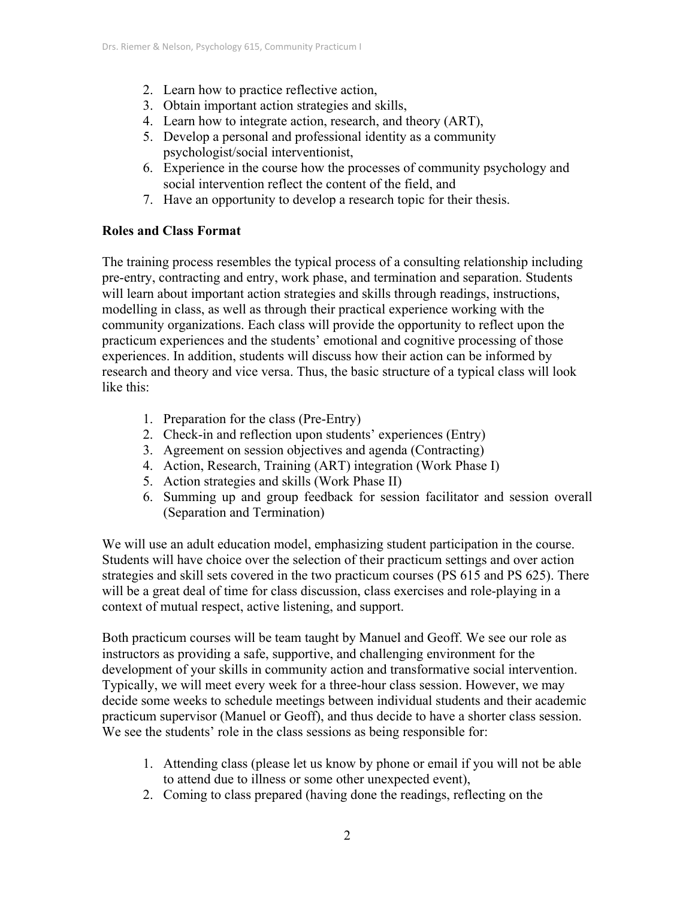- 2. Learn how to practice reflective action,
- 3. Obtain important action strategies and skills,
- 4. Learn how to integrate action, research, and theory (ART),
- 5. Develop a personal and professional identity as a community psychologist/social interventionist,
- 6. Experience in the course how the processes of community psychology and social intervention reflect the content of the field, and
- 7. Have an opportunity to develop a research topic for their thesis.

### **Roles and Class Format**

The training process resembles the typical process of a consulting relationship including pre-entry, contracting and entry, work phase, and termination and separation. Students will learn about important action strategies and skills through readings, instructions, modelling in class, as well as through their practical experience working with the community organizations. Each class will provide the opportunity to reflect upon the practicum experiences and the students' emotional and cognitive processing of those experiences. In addition, students will discuss how their action can be informed by research and theory and vice versa. Thus, the basic structure of a typical class will look like this:

- 1. Preparation for the class (Pre-Entry)
- 2. Check-in and reflection upon students' experiences (Entry)
- 3. Agreement on session objectives and agenda (Contracting)
- 4. Action, Research, Training (ART) integration (Work Phase I)
- 5. Action strategies and skills (Work Phase II)
- 6. Summing up and group feedback for session facilitator and session overall (Separation and Termination)

We will use an adult education model, emphasizing student participation in the course. Students will have choice over the selection of their practicum settings and over action strategies and skill sets covered in the two practicum courses (PS 615 and PS 625). There will be a great deal of time for class discussion, class exercises and role-playing in a context of mutual respect, active listening, and support.

Both practicum courses will be team taught by Manuel and Geoff. We see our role as instructors as providing a safe, supportive, and challenging environment for the development of your skills in community action and transformative social intervention. Typically, we will meet every week for a three-hour class session. However, we may decide some weeks to schedule meetings between individual students and their academic practicum supervisor (Manuel or Geoff), and thus decide to have a shorter class session. We see the students' role in the class sessions as being responsible for:

- 1. Attending class (please let us know by phone or email if you will not be able to attend due to illness or some other unexpected event),
- 2. Coming to class prepared (having done the readings, reflecting on the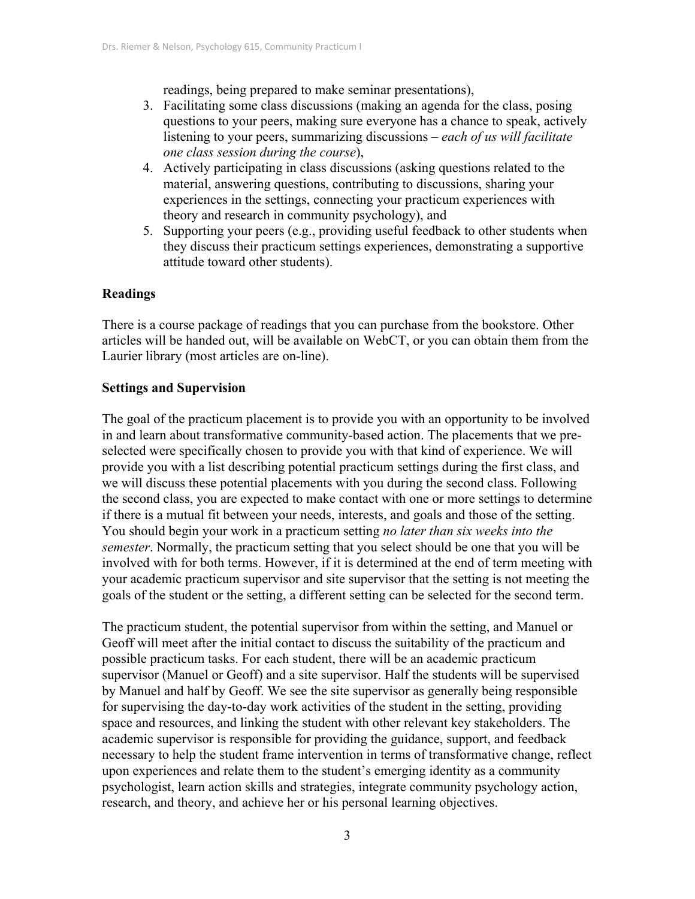readings, being prepared to make seminar presentations),

- 3. Facilitating some class discussions (making an agenda for the class, posing questions to your peers, making sure everyone has a chance to speak, actively listening to your peers, summarizing discussions – *each of us will facilitate one class session during the course*),
- 4. Actively participating in class discussions (asking questions related to the material, answering questions, contributing to discussions, sharing your experiences in the settings, connecting your practicum experiences with theory and research in community psychology), and
- 5. Supporting your peers (e.g., providing useful feedback to other students when they discuss their practicum settings experiences, demonstrating a supportive attitude toward other students).

### **Readings**

There is a course package of readings that you can purchase from the bookstore. Other articles will be handed out, will be available on WebCT, or you can obtain them from the Laurier library (most articles are on-line).

### **Settings and Supervision**

The goal of the practicum placement is to provide you with an opportunity to be involved in and learn about transformative community-based action. The placements that we preselected were specifically chosen to provide you with that kind of experience. We will provide you with a list describing potential practicum settings during the first class, and we will discuss these potential placements with you during the second class. Following the second class, you are expected to make contact with one or more settings to determine if there is a mutual fit between your needs, interests, and goals and those of the setting. You should begin your work in a practicum setting *no later than six weeks into the semester*. Normally, the practicum setting that you select should be one that you will be involved with for both terms. However, if it is determined at the end of term meeting with your academic practicum supervisor and site supervisor that the setting is not meeting the goals of the student or the setting, a different setting can be selected for the second term.

The practicum student, the potential supervisor from within the setting, and Manuel or Geoff will meet after the initial contact to discuss the suitability of the practicum and possible practicum tasks. For each student, there will be an academic practicum supervisor (Manuel or Geoff) and a site supervisor. Half the students will be supervised by Manuel and half by Geoff. We see the site supervisor as generally being responsible for supervising the day-to-day work activities of the student in the setting, providing space and resources, and linking the student with other relevant key stakeholders. The academic supervisor is responsible for providing the guidance, support, and feedback necessary to help the student frame intervention in terms of transformative change, reflect upon experiences and relate them to the student's emerging identity as a community psychologist, learn action skills and strategies, integrate community psychology action, research, and theory, and achieve her or his personal learning objectives.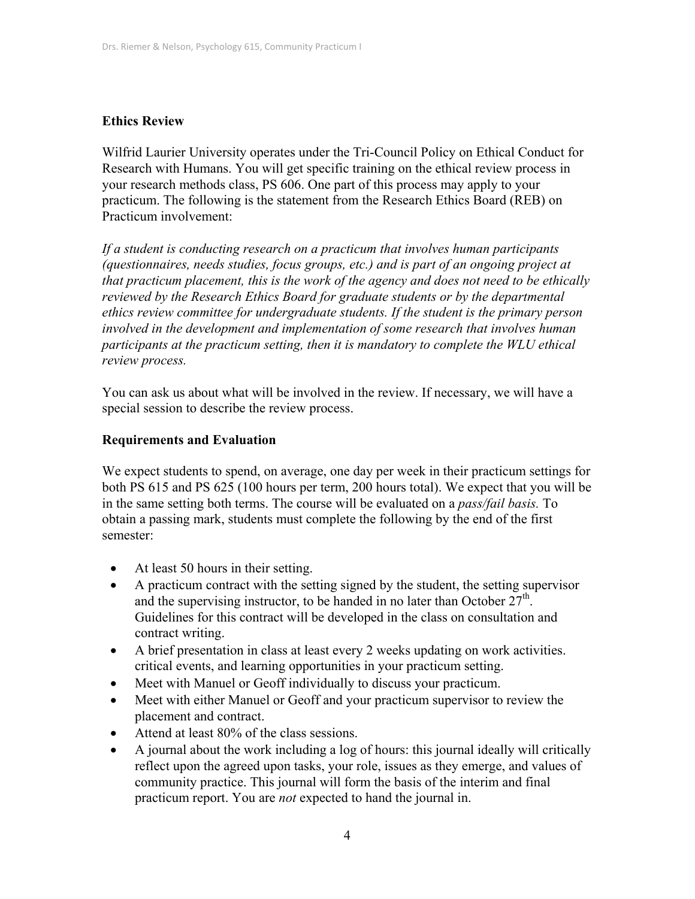### **Ethics Review**

Wilfrid Laurier University operates under the Tri-Council Policy on Ethical Conduct for Research with Humans. You will get specific training on the ethical review process in your research methods class, PS 606. One part of this process may apply to your practicum. The following is the statement from the Research Ethics Board (REB) on Practicum involvement:

*If a student is conducting research on a practicum that involves human participants (questionnaires, needs studies, focus groups, etc.) and is part of an ongoing project at that practicum placement, this is the work of the agency and does not need to be ethically reviewed by the Research Ethics Board for graduate students or by the departmental ethics review committee for undergraduate students. If the student is the primary person involved in the development and implementation of some research that involves human participants at the practicum setting, then it is mandatory to complete the WLU ethical review process.* 

You can ask us about what will be involved in the review. If necessary, we will have a special session to describe the review process.

### **Requirements and Evaluation**

We expect students to spend, on average, one day per week in their practicum settings for both PS 615 and PS 625 (100 hours per term, 200 hours total). We expect that you will be in the same setting both terms. The course will be evaluated on a *pass/fail basis.* To obtain a passing mark, students must complete the following by the end of the first semester:

- At least 50 hours in their setting.
- A practicum contract with the setting signed by the student, the setting supervisor and the supervising instructor, to be handed in no later than October  $27<sup>th</sup>$ . Guidelines for this contract will be developed in the class on consultation and contract writing.
- A brief presentation in class at least every 2 weeks updating on work activities. critical events, and learning opportunities in your practicum setting.
- Meet with Manuel or Geoff individually to discuss your practicum.
- Meet with either Manuel or Geoff and your practicum supervisor to review the placement and contract.
- Attend at least 80% of the class sessions.
- A journal about the work including a log of hours: this journal ideally will critically reflect upon the agreed upon tasks, your role, issues as they emerge, and values of community practice. This journal will form the basis of the interim and final practicum report. You are *not* expected to hand the journal in.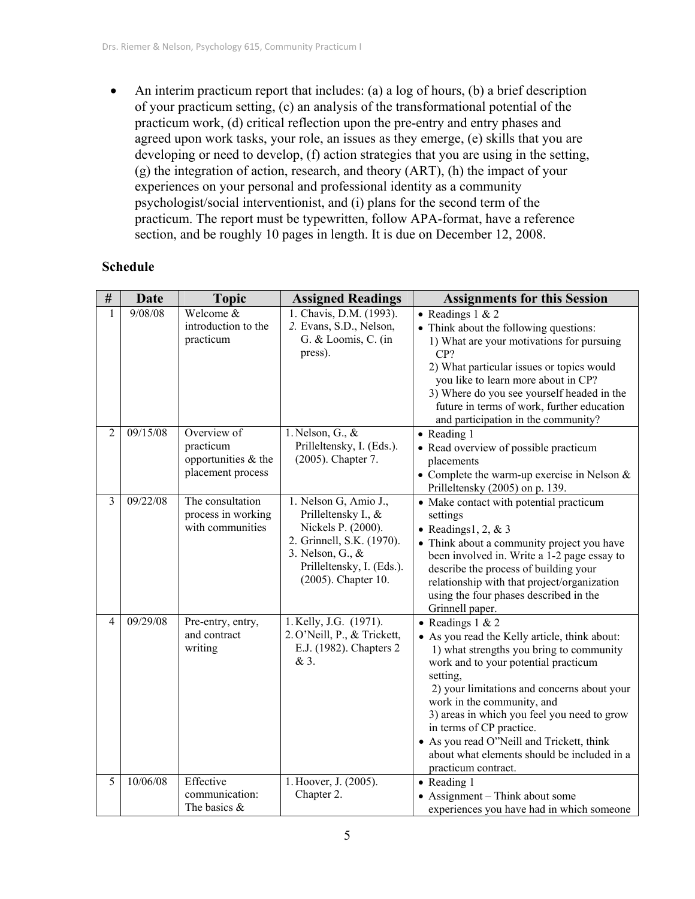• An interim practicum report that includes: (a) a log of hours, (b) a brief description of your practicum setting, (c) an analysis of the transformational potential of the practicum work, (d) critical reflection upon the pre-entry and entry phases and agreed upon work tasks, your role, an issues as they emerge, (e) skills that you are developing or need to develop, (f) action strategies that you are using in the setting, (g) the integration of action, research, and theory (ART), (h) the impact of your experiences on your personal and professional identity as a community psychologist/social interventionist, and (i) plans for the second term of the practicum. The report must be typewritten, follow APA-format, have a reference section, and be roughly 10 pages in length. It is due on December 12, 2008.

### **Schedule**

| $\#$           | <b>Date</b> | <b>Topic</b>                                                         | <b>Assigned Readings</b>                                                                                                                                                   | <b>Assignments for this Session</b>                                                                                                                                                                                                                                                                                                                                                                                                            |
|----------------|-------------|----------------------------------------------------------------------|----------------------------------------------------------------------------------------------------------------------------------------------------------------------------|------------------------------------------------------------------------------------------------------------------------------------------------------------------------------------------------------------------------------------------------------------------------------------------------------------------------------------------------------------------------------------------------------------------------------------------------|
| $\mathbf{1}$   | 9/08/08     | Welcome &<br>introduction to the<br>practicum                        | 1. Chavis, D.M. (1993).<br>2. Evans, S.D., Nelson,<br>G. & Loomis, C. (in<br>press).                                                                                       | • Readings $1 & 2$<br>• Think about the following questions:<br>1) What are your motivations for pursuing<br>CP?<br>2) What particular issues or topics would<br>you like to learn more about in CP?<br>3) Where do you see yourself headed in the<br>future in terms of work, further education<br>and participation in the community?                                                                                                        |
| $\overline{2}$ | 09/15/08    | Overview of<br>practicum<br>opportunities & the<br>placement process | 1. Nelson, G., $\&$<br>Prilleltensky, I. (Eds.).<br>(2005). Chapter 7.                                                                                                     | • Reading 1<br>• Read overview of possible practicum<br>placements<br>• Complete the warm-up exercise in Nelson $&$<br>Prilleltensky (2005) on p. 139.                                                                                                                                                                                                                                                                                         |
| 3              | 09/22/08    | The consultation<br>process in working<br>with communities           | 1. Nelson G, Amio J.,<br>Prilleltensky I., &<br>Nickels P. (2000).<br>2. Grinnell, S.K. (1970).<br>3. Nelson, G., $\&$<br>Prilleltensky, I. (Eds.).<br>(2005). Chapter 10. | • Make contact with potential practicum<br>settings<br>• Readings1, 2, $&3$<br>• Think about a community project you have<br>been involved in. Write a 1-2 page essay to<br>describe the process of building your<br>relationship with that project/organization<br>using the four phases described in the<br>Grinnell paper.                                                                                                                  |
| $\overline{4}$ | 09/29/08    | Pre-entry, entry,<br>and contract<br>writing                         | 1. Kelly, J.G. (1971).<br>2. O'Neill, P., & Trickett,<br>E.J. (1982). Chapters 2<br>& 3.                                                                                   | • Readings $1 & 2$<br>• As you read the Kelly article, think about:<br>1) what strengths you bring to community<br>work and to your potential practicum<br>setting,<br>2) your limitations and concerns about your<br>work in the community, and<br>3) areas in which you feel you need to grow<br>in terms of CP practice.<br>• As you read O"Neill and Trickett, think<br>about what elements should be included in a<br>practicum contract. |
| 5              | 10/06/08    | Effective<br>communication:<br>The basics $\&$                       | 1. Hoover, J. (2005).<br>Chapter 2.                                                                                                                                        | • Reading 1<br>• Assignment – Think about some<br>experiences you have had in which someone                                                                                                                                                                                                                                                                                                                                                    |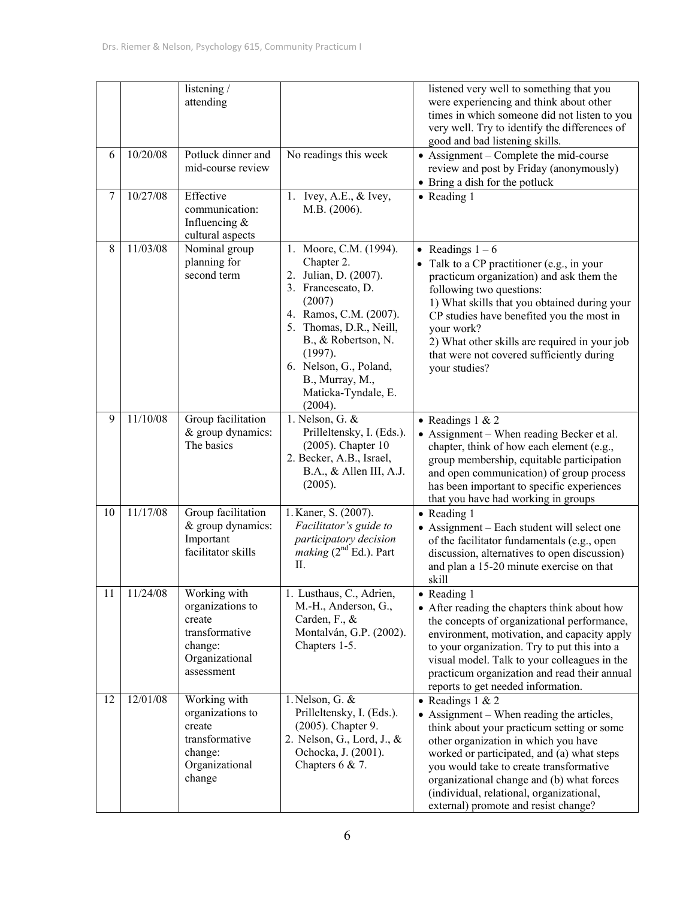|                  |          | listening /<br>attending                                                                                |                                                                                                                                                                                                                                                                     | listened very well to something that you<br>were experiencing and think about other<br>times in which someone did not listen to you<br>very well. Try to identify the differences of<br>good and bad listening skills.                                                                                                                                                          |
|------------------|----------|---------------------------------------------------------------------------------------------------------|---------------------------------------------------------------------------------------------------------------------------------------------------------------------------------------------------------------------------------------------------------------------|---------------------------------------------------------------------------------------------------------------------------------------------------------------------------------------------------------------------------------------------------------------------------------------------------------------------------------------------------------------------------------|
| 6                | 10/20/08 | Potluck dinner and<br>mid-course review                                                                 | No readings this week                                                                                                                                                                                                                                               | • Assignment – Complete the mid-course<br>review and post by Friday (anonymously)<br>• Bring a dish for the potluck                                                                                                                                                                                                                                                             |
| $\boldsymbol{7}$ | 10/27/08 | Effective<br>communication:<br>Influencing $&$<br>cultural aspects                                      | 1. Ivey, A.E., $&$ Ivey,<br>M.B. (2006).                                                                                                                                                                                                                            | • Reading 1                                                                                                                                                                                                                                                                                                                                                                     |
| 8                | 11/03/08 | Nominal group<br>planning for<br>second term                                                            | 1. Moore, C.M. (1994).<br>Chapter 2.<br>2. Julian, D. (2007).<br>3. Francescato, D.<br>(2007)<br>4. Ramos, C.M. (2007).<br>5. Thomas, D.R., Neill,<br>B., & Robertson, N.<br>(1997).<br>6. Nelson, G., Poland,<br>B., Murray, M.,<br>Maticka-Tyndale, E.<br>(2004). | • Readings $1 - 6$<br>Talk to a CP practitioner (e.g., in your<br>practicum organization) and ask them the<br>following two questions:<br>1) What skills that you obtained during your<br>CP studies have benefited you the most in<br>your work?<br>2) What other skills are required in your job<br>that were not covered sufficiently during<br>your studies?                |
| 9                | 11/10/08 | Group facilitation<br>& group dynamics:<br>The basics                                                   | 1. Nelson, G. &<br>Prilleltensky, I. (Eds.).<br>$(2005)$ . Chapter 10<br>2. Becker, A.B., Israel,<br>B.A., & Allen III, A.J.<br>(2005).                                                                                                                             | • Readings $1 & 2$<br>• Assignment – When reading Becker et al.<br>chapter, think of how each element (e.g.,<br>group membership, equitable participation<br>and open communication) of group process<br>has been important to specific experiences<br>that you have had working in groups                                                                                      |
| 10               | 11/17/08 | Group facilitation<br>& group dynamics:<br>Important<br>facilitator skills                              | 1. Kaner, S. (2007).<br>Facilitator's guide to<br>participatory decision<br>making $(2nd Ed.)$ . Part<br>II.                                                                                                                                                        | • Reading 1<br>• Assignment – Each student will select one<br>of the facilitator fundamentals (e.g., open<br>discussion, alternatives to open discussion)<br>and plan a 15-20 minute exercise on that<br>skill                                                                                                                                                                  |
| 11               | 11/24/08 | Working with<br>organizations to<br>create<br>transformative<br>change:<br>Organizational<br>assessment | 1. Lusthaus, C., Adrien,<br>M.-H., Anderson, G.,<br>Carden, F., $\&$<br>Montalván, G.P. (2002).<br>Chapters 1-5.                                                                                                                                                    | • Reading 1<br>• After reading the chapters think about how<br>the concepts of organizational performance,<br>environment, motivation, and capacity apply<br>to your organization. Try to put this into a<br>visual model. Talk to your colleagues in the<br>practicum organization and read their annual<br>reports to get needed information.                                 |
| 12               | 12/01/08 | Working with<br>organizations to<br>create<br>transformative<br>change:<br>Organizational<br>change     | 1. Nelson, G. $&$<br>Prilleltensky, I. (Eds.).<br>(2005). Chapter 9.<br>2. Nelson, G., Lord, J., &<br>Ochocka, J. (2001).<br>Chapters $6 & 7$ .                                                                                                                     | • Readings $1 & 2$<br>• Assignment – When reading the articles,<br>think about your practicum setting or some<br>other organization in which you have<br>worked or participated, and (a) what steps<br>you would take to create transformative<br>organizational change and (b) what forces<br>(individual, relational, organizational,<br>external) promote and resist change? |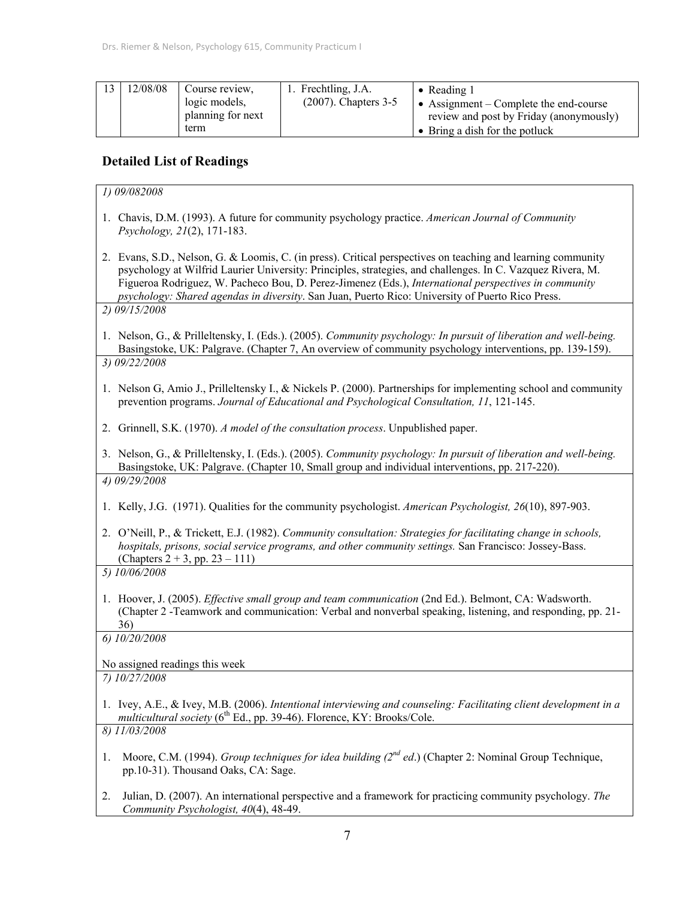| 12/08/08 | Course review.<br>logic models,<br>planning for next | 1. Frechtling, J.A.<br>$(2007)$ . Chapters 3-5 | • Reading $1$<br>• Assignment – Complete the end-course<br>review and post by Friday (anonymously) |
|----------|------------------------------------------------------|------------------------------------------------|----------------------------------------------------------------------------------------------------|
|          | term                                                 |                                                | $\bullet$ Bring a dish for the potluck                                                             |

# **Detailed List of Readings**

| 1) 09/082008                                                                                                                                                                                                                                                                                                                                                                                                                           |
|----------------------------------------------------------------------------------------------------------------------------------------------------------------------------------------------------------------------------------------------------------------------------------------------------------------------------------------------------------------------------------------------------------------------------------------|
| 1. Chavis, D.M. (1993). A future for community psychology practice. American Journal of Community<br>Psychology, 21(2), 171-183.                                                                                                                                                                                                                                                                                                       |
| 2. Evans, S.D., Nelson, G. & Loomis, C. (in press). Critical perspectives on teaching and learning community<br>psychology at Wilfrid Laurier University: Principles, strategies, and challenges. In C. Vazquez Rivera, M.<br>Figueroa Rodriguez, W. Pacheco Bou, D. Perez-Jimenez (Eds.), International perspectives in community<br>psychology: Shared agendas in diversity. San Juan, Puerto Rico: University of Puerto Rico Press. |
| 2) 09/15/2008                                                                                                                                                                                                                                                                                                                                                                                                                          |
| 1. Nelson, G., & Prilleltensky, I. (Eds.). (2005). Community psychology: In pursuit of liberation and well-being.<br>Basingstoke, UK: Palgrave. (Chapter 7, An overview of community psychology interventions, pp. 139-159).                                                                                                                                                                                                           |
| 3) 09/22/2008                                                                                                                                                                                                                                                                                                                                                                                                                          |
| 1. Nelson G, Amio J., Prilleltensky I., & Nickels P. (2000). Partnerships for implementing school and community<br>prevention programs. Journal of Educational and Psychological Consultation, 11, 121-145.                                                                                                                                                                                                                            |
| 2. Grinnell, S.K. (1970). A model of the consultation process. Unpublished paper.                                                                                                                                                                                                                                                                                                                                                      |
| 3. Nelson, G., & Prilleltensky, I. (Eds.). (2005). Community psychology: In pursuit of liberation and well-being.<br>Basingstoke, UK: Palgrave. (Chapter 10, Small group and individual interventions, pp. 217-220).                                                                                                                                                                                                                   |
| 4) 09/29/2008                                                                                                                                                                                                                                                                                                                                                                                                                          |
| 1. Kelly, J.G. (1971). Qualities for the community psychologist. American Psychologist, 26(10), 897-903.                                                                                                                                                                                                                                                                                                                               |
| 2. O'Neill, P., & Trickett, E.J. (1982). Community consultation: Strategies for facilitating change in schools,<br>hospitals, prisons, social service programs, and other community settings. San Francisco: Jossey-Bass.<br>(Chapters $2 + 3$ , pp. $23 - 111$ )                                                                                                                                                                      |
| 5) 10/06/2008                                                                                                                                                                                                                                                                                                                                                                                                                          |
| 1. Hoover, J. (2005). <i>Effective small group and team communication</i> (2nd Ed.). Belmont, CA: Wadsworth.<br>(Chapter 2 - Teamwork and communication: Verbal and nonverbal speaking, listening, and responding, pp. 21-<br>36)                                                                                                                                                                                                      |
| 6) 10/20/2008                                                                                                                                                                                                                                                                                                                                                                                                                          |
| No assigned readings this week                                                                                                                                                                                                                                                                                                                                                                                                         |
| 7) 10/27/2008                                                                                                                                                                                                                                                                                                                                                                                                                          |
| 1. Ivey, A.E., & Ivey, M.B. (2006). Intentional interviewing and counseling: Facilitating client development in a<br>multicultural society ( $6^{th}$ Ed., pp. 39-46). Florence, KY: Brooks/Cole.                                                                                                                                                                                                                                      |
| 8) 11/03/2008                                                                                                                                                                                                                                                                                                                                                                                                                          |
| Moore, C.M. (1994). Group techniques for idea building $(2^{nd}$ ed.) (Chapter 2: Nominal Group Technique,<br>1.<br>pp.10-31). Thousand Oaks, CA: Sage.                                                                                                                                                                                                                                                                                |
| Julian, D. (2007). An international perspective and a framework for practicing community psychology. The<br>2.<br>Community Psychologist, 40(4), 48-49.                                                                                                                                                                                                                                                                                |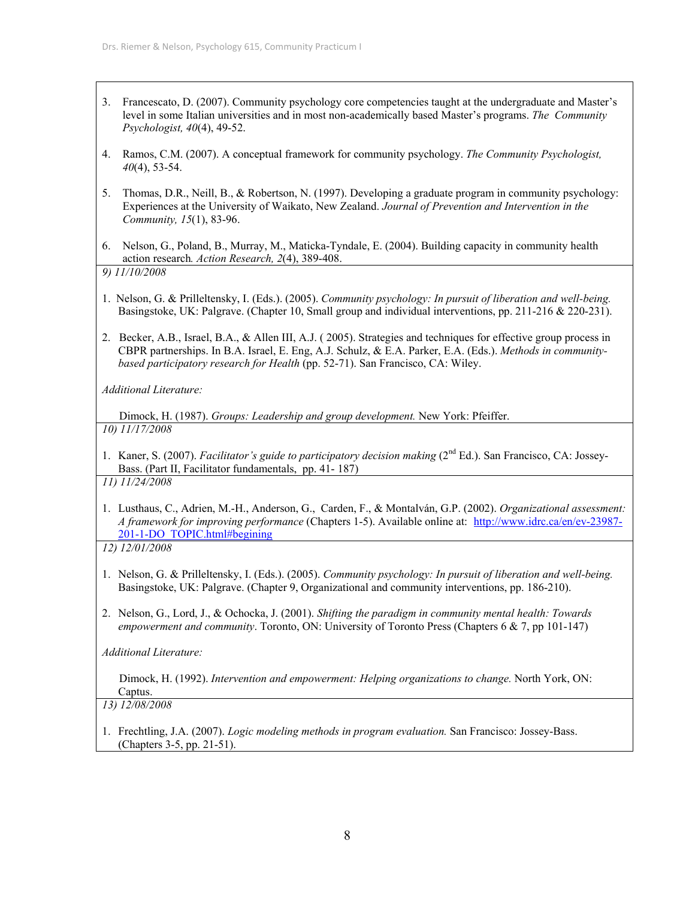- 3. Francescato, D. (2007). Community psychology core competencies taught at the undergraduate and Master's level in some Italian universities and in most non-academically based Master's programs. *The Community Psychologist, 40*(4), 49-52.
- 4. Ramos, C.M. (2007). A conceptual framework for community psychology. *The Community Psychologist, 40*(4), 53-54.
- 5. Thomas, D.R., Neill, B., & Robertson, N. (1997). Developing a graduate program in community psychology: Experiences at the University of Waikato, New Zealand. *Journal of Prevention and Intervention in the Community, 15*(1), 83-96.
- 6. Nelson, G., Poland, B., Murray, M., Maticka-Tyndale, E. (2004). Building capacity in community health action research*. Action Research, 2*(4), 389-408.

*9) 11/10/2008* 

- 1. Nelson, G. & Prilleltensky, I. (Eds.). (2005). *Community psychology: In pursuit of liberation and well-being.* Basingstoke, UK: Palgrave. (Chapter 10, Small group and individual interventions, pp. 211-216 & 220-231).
- 2. Becker, A.B., Israel, B.A., & Allen III, A.J. ( 2005). Strategies and techniques for effective group process in CBPR partnerships. In B.A. Israel, E. Eng, A.J. Schulz, & E.A. Parker, E.A. (Eds.). *Methods in communitybased participatory research for Health* (pp. 52-71). San Francisco, CA: Wiley.

*Additional Literature:* 

 Dimock, H. (1987). *Groups: Leadership and group development.* New York: Pfeiffer. *10) 11/17/2008* 

1. Kaner, S. (2007). *Facilitator's guide to participatory decision making* (2<sup>nd</sup> Ed.). San Francisco, CA: Jossey-Bass. (Part II, Facilitator fundamentals, pp. 41- 187)

*11) 11/24/2008* 

1. Lusthaus, C., Adrien, M.-H., Anderson, G., Carden, F., & Montalván, G.P. (2002). *Organizational assessment: A framework for improving performance* (Chapters 1-5). Available online at: http://www.idrc.ca/en/ev-23987- 201-1-DO\_TOPIC.html#begining

*12) 12/01/2008* 

- 1. Nelson, G. & Prilleltensky, I. (Eds.). (2005). *Community psychology: In pursuit of liberation and well-being.* Basingstoke, UK: Palgrave. (Chapter 9, Organizational and community interventions, pp. 186-210).
- 2. Nelson, G., Lord, J., & Ochocka, J. (2001). *Shifting the paradigm in community mental health: Towards empowerment and community*. Toronto, ON: University of Toronto Press (Chapters 6 & 7, pp 101-147)

*Additional Literature:* 

 Dimock, H. (1992). *Intervention and empowerment: Helping organizations to change.* North York, ON: Captus.

*13) 12/08/2008*

1. Frechtling, J.A. (2007). *Logic modeling methods in program evaluation.* San Francisco: Jossey-Bass. (Chapters 3-5, pp. 21-51).